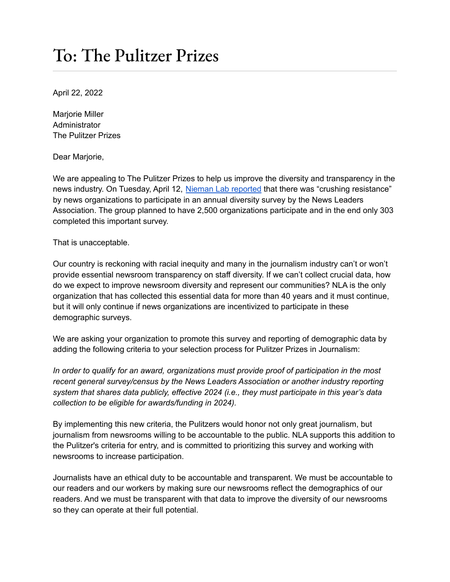## To: The Pulitzer Prizes

April 22, 2022

Marjorie Miller Administrator The Pulitzer Prizes

Dear Marjorie,

We are appealing to The Pulitzer Prizes to help us improve the diversity and transparency in the news industry. On Tuesday, April 12, Nieman Lab [reported](https://www.niemanlab.org/2022/04/crushing-resistance-yet-again-newsrooms-arent-showing-up-to-the-industrys-largest-diversity-survey/) that there was "crushing resistance" by news organizations to participate in an annual diversity survey by the News Leaders Association. The group planned to have 2,500 organizations participate and in the end only 303 completed this important survey.

## That is unacceptable.

Our country is reckoning with racial inequity and many in the journalism industry can't or won't provide essential newsroom transparency on staff diversity. If we can't collect crucial data, how do we expect to improve newsroom diversity and represent our communities? NLA is the only organization that has collected this essential data for more than 40 years and it must continue, but it will only continue if news organizations are incentivized to participate in these demographic surveys.

We are asking your organization to promote this survey and reporting of demographic data by adding the following criteria to your selection process for Pulitzer Prizes in Journalism:

*In order to qualify for an award, organizations must provide proof of participation in the most recent general survey/census by the News Leaders Association or another industry reporting system that shares data publicly, effective 2024 (i.e., they must participate in this year's data collection to be eligible for awards/funding in 2024).*

By implementing this new criteria, the Pulitzers would honor not only great journalism, but journalism from newsrooms willing to be accountable to the public. NLA supports this addition to the Pulitzer's criteria for entry, and is committed to prioritizing this survey and working with newsrooms to increase participation.

Journalists have an ethical duty to be accountable and transparent. We must be accountable to our readers and our workers by making sure our newsrooms reflect the demographics of our readers. And we must be transparent with that data to improve the diversity of our newsrooms so they can operate at their full potential.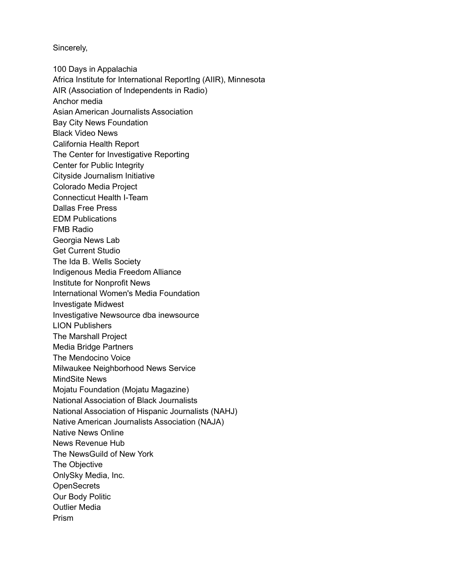Sincerely,

100 Days in Appalachia Africa Institute for International ReportIng (AIIR), Minnesota AIR (Association of Independents in Radio) Anchor media Asian American Journalists Association Bay City News Foundation Black Video News California Health Report The Center for Investigative Reporting Center for Public Integrity Cityside Journalism Initiative Colorado Media Project Connecticut Health I-Team Dallas Free Press EDM Publications FMB Radio Georgia News Lab Get Current Studio The Ida B. Wells Society Indigenous Media Freedom Alliance Institute for Nonprofit News International Women's Media Foundation Investigate Midwest Investigative Newsource dba inewsource LION Publishers The Marshall Project Media Bridge Partners The Mendocino Voice Milwaukee Neighborhood News Service MindSite News Mojatu Foundation (Mojatu Magazine) National Association of Black Journalists National Association of Hispanic Journalists (NAHJ) Native American Journalists Association (NAJA) Native News Online News Revenue Hub The NewsGuild of New York The Objective OnlySky Media, Inc. **OpenSecrets** Our Body Politic Outlier Media Prism